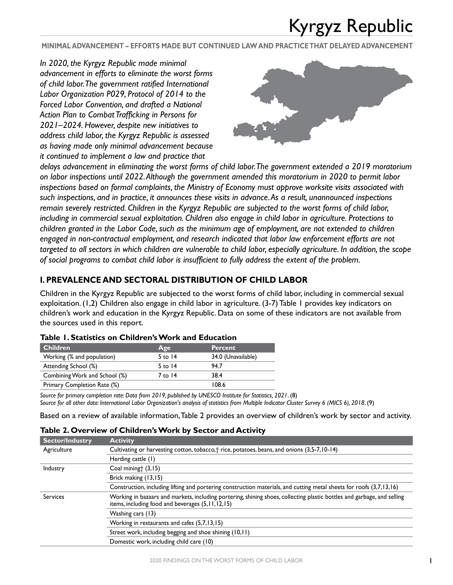**MINIMAL ADVANCEMENT – EFFORTS MADE BUT CONTINUED LAW AND PRACTICE THAT DELAYED ADVANCEMENT**

*In 2020, the Kyrgyz Republic made minimal advancement in efforts to eliminate the worst forms of child labor. The government ratified International Labor Organization P029, Protocol of 2014 to the Forced Labor Convention, and drafted a National Action Plan to Combat Trafficking in Persons for 2021–2024. However, despite new initiatives to address child labor, the Kyrgyz Republic is assessed as having made only minimal advancement because it continued to implement a law and practice that* 



*delays advancement in eliminating the worst forms of child labor. The government extended a 2019 moratorium on labor inspections until 2022. Although the government amended this moratorium in 2020 to permit labor inspections based on formal complaints, the Ministry of Economy must approve worksite visits associated with such inspections, and in practice, it announces these visits in advance. As a result, unannounced inspections remain severely restricted. Children in the Kyrgyz Republic are subjected to the worst forms of child labor, including in commercial sexual exploitation. Children also engage in child labor in agriculture. Protections to children granted in the Labor Code, such as the minimum age of employment, are not extended to children engaged in non-contractual employment, and research indicated that labor law enforcement efforts are not targeted to all sectors in which children are vulnerable to child labor, especially agriculture. In addition, the scope of social programs to combat child labor is insufficient to fully address the extent of the problem.*

### **I. PREVALENCE AND SECTORAL DISTRIBUTION OF CHILD LABOR**

Children in the Kyrgyz Republic are subjected to the worst forms of child labor, including in commercial sexual exploitation. (1,2) Children also engage in child labor in agriculture. (3-7) Table 1 provides key indicators on children's work and education in the Kyrgyz Republic. Data on some of these indicators are not available from the sources used in this report.

| <b>Children</b>               | Age       | <b>Percent</b>     |
|-------------------------------|-----------|--------------------|
| Working (% and population)    | $5$ to 14 | 34.0 (Unavailable) |
| Attending School (%)          | $5$ to 14 | 94.7               |
| Combining Work and School (%) | 7 to 14   | 38.4               |
| Primary Completion Rate (%)   |           | 108.6              |

### **Table 1. Statistics on Children's Work and Education**

*Source for primary completion rate: Data from 2019, published by UNESCO Institute for Statistics, 2021*. (8) *Source for all other data: International Labor Organization's analysis of statistics from Multiple Indicator Cluster Survey 6 (MICS 6), 2018*. (9)

Based on a review of available information, Table 2 provides an overview of children's work by sector and activity.

|                        | Table 2. Over view of Children's voork by Sector and Activity                                                                                                                  |
|------------------------|--------------------------------------------------------------------------------------------------------------------------------------------------------------------------------|
| <b>Sector/Industry</b> | <b>Activity</b>                                                                                                                                                                |
| Agriculture            | Cultivating or harvesting cotton, tobacco, † rice, potatoes, beans, and onions (3,5-7,10-14)                                                                                   |
|                        | Herding cattle (1)                                                                                                                                                             |
| Industry               | Coal mining† (3,15)                                                                                                                                                            |
|                        | Brick making (13,15)                                                                                                                                                           |
|                        | Construction, including lifting and portering construction materials, and cutting metal sheets for roofs (3,7,13,16)                                                           |
| <b>Services</b>        | Working in bazaars and markets, including portering, shining shoes, collecting plastic bottles and garbage, and selling<br>items, including food and beverages (5, 11, 12, 15) |
|                        | Washing cars (13)                                                                                                                                                              |
|                        | Working in restaurants and cafes (5,7,13,15)                                                                                                                                   |
|                        | Street work, including begging and shoe shining (10,11)                                                                                                                        |
|                        | Domestic work, including child care (10)                                                                                                                                       |

### **Table 2. Overview of Children's Work by Sector and Activity**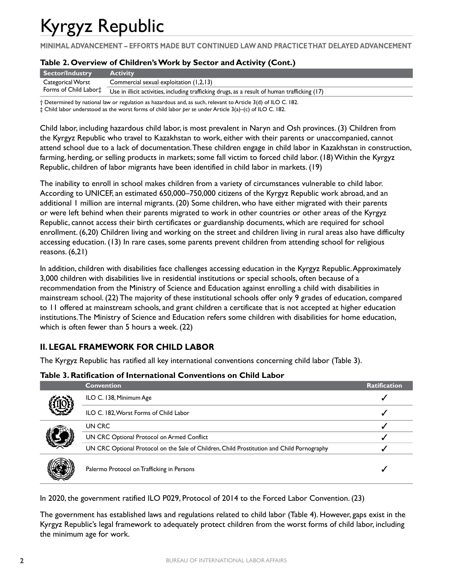**MINIMAL ADVANCEMENT – EFFORTS MADE BUT CONTINUED LAW AND PRACTICE THAT DELAYED ADVANCEMENT**

### **Table 2. Overview of Children's Work by Sector and Activity (Cont.)**

| Sector/Industry   | <b>Activity</b>                                                                                                     |
|-------------------|---------------------------------------------------------------------------------------------------------------------|
| Categorical Worst | Commercial sexual exploitation (1,2,13)                                                                             |
|                   | Forms of Child Labor‡ Use in illicit activities, including trafficking drugs, as a result of human trafficking (17) |

† Determined by national law or regulation as hazardous and, as such, relevant to Article 3(d) of ILO C. 182.

‡ Child labor understood as the worst forms of child labor *per se* under Article 3(a)–(c) of ILO C. 182.

Child labor, including hazardous child labor, is most prevalent in Naryn and Osh provinces. (3) Children from the Kyrgyz Republic who travel to Kazakhstan to work, either with their parents or unaccompanied, cannot attend school due to a lack of documentation. These children engage in child labor in Kazakhstan in construction, farming, herding, or selling products in markets; some fall victim to forced child labor. (18) Within the Kyrgyz Republic, children of labor migrants have been identified in child labor in markets. (19)

The inability to enroll in school makes children from a variety of circumstances vulnerable to child labor. According to UNICEF, an estimated 650,000–750,000 citizens of the Kyrgyz Republic work abroad, and an additional 1 million are internal migrants. (20) Some children, who have either migrated with their parents or were left behind when their parents migrated to work in other countries or other areas of the Kyrgyz Republic, cannot access their birth certificates or guardianship documents, which are required for school enrollment. (6,20) Children living and working on the street and children living in rural areas also have difficulty accessing education. (13) In rare cases, some parents prevent children from attending school for religious reasons. (6,21)

In addition, children with disabilities face challenges accessing education in the Kyrgyz Republic. Approximately 3,000 children with disabilities live in residential institutions or special schools, often because of a recommendation from the Ministry of Science and Education against enrolling a child with disabilities in mainstream school. (22) The majority of these institutional schools offer only 9 grades of education, compared to 11 offered at mainstream schools, and grant children a certificate that is not accepted at higher education institutions. The Ministry of Science and Education refers some children with disabilities for home education, which is often fewer than 5 hours a week. (22)

### **II. LEGAL FRAMEWORK FOR CHILD LABOR**

The Kyrgyz Republic has ratified all key international conventions concerning child labor (Table 3).

### **Table 3. Ratification of International Conventions on Child Labor**

|  | <b>Convention</b>                                                                          | <b>Ratification</b> |
|--|--------------------------------------------------------------------------------------------|---------------------|
|  | ILO C. 138, Minimum Age                                                                    |                     |
|  | ILO C. 182, Worst Forms of Child Labor                                                     |                     |
|  | UN CRC                                                                                     |                     |
|  | UN CRC Optional Protocol on Armed Conflict                                                 |                     |
|  | UN CRC Optional Protocol on the Sale of Children, Child Prostitution and Child Pornography |                     |
|  | Palermo Protocol on Trafficking in Persons                                                 |                     |

In 2020, the government ratified ILO P029, Protocol of 2014 to the Forced Labor Convention. (23)

The government has established laws and regulations related to child labor (Table 4). However, gaps exist in the Kyrgyz Republic's legal framework to adequately protect children from the worst forms of child labor, including the minimum age for work.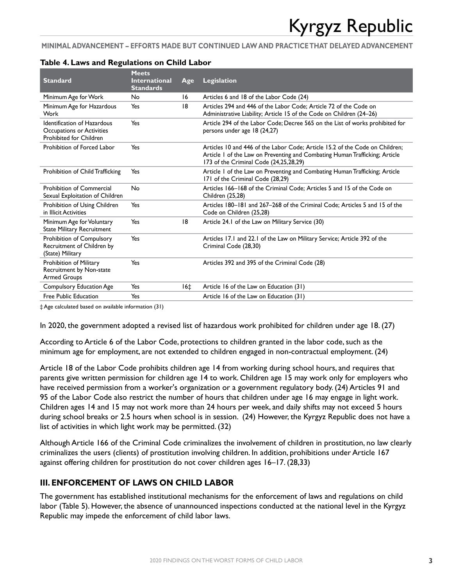**MINIMAL ADVANCEMENT – EFFORTS MADE BUT CONTINUED LAW AND PRACTICE THAT DELAYED ADVANCEMENT**

| <b>Standard</b>                                                                            | <b>Meets</b><br><b>International</b> | Age             | <b>Legislation</b>                                                                                                                                                                                    |
|--------------------------------------------------------------------------------------------|--------------------------------------|-----------------|-------------------------------------------------------------------------------------------------------------------------------------------------------------------------------------------------------|
|                                                                                            | <b>Standards</b>                     |                 |                                                                                                                                                                                                       |
| Minimum Age for Work                                                                       | No.                                  | 16              | Articles 6 and 18 of the Labor Code (24)                                                                                                                                                              |
| Minimum Age for Hazardous<br>Work                                                          | Yes                                  | 18              | Articles 294 and 446 of the Labor Code: Article 72 of the Code on<br>Administrative Liability; Article 15 of the Code on Children (24-26)                                                             |
| <b>Identification of Hazardous</b><br>Occupations or Activities<br>Prohibited for Children | Yes                                  |                 | Article 294 of the Labor Code; Decree 565 on the List of works prohibited for<br>persons under age 18 (24,27)                                                                                         |
| Prohibition of Forced Labor                                                                | Yes                                  |                 | Articles 10 and 446 of the Labor Code: Article 15.2 of the Code on Children:<br>Article 1 of the Law on Preventing and Combating Human Trafficking; Article<br>173 of the Criminal Code (24,25,28,29) |
| Prohibition of Child Trafficking                                                           | Yes                                  |                 | Article I of the Law on Preventing and Combating Human Trafficking; Article<br>171 of the Criminal Code (28,29)                                                                                       |
| Prohibition of Commercial<br>Sexual Exploitation of Children                               | No.                                  |                 | Articles 166–168 of the Criminal Code: Articles 5 and 15 of the Code on<br>Children (25,28)                                                                                                           |
| Prohibition of Using Children<br>in Illicit Activities                                     | Yes                                  |                 | Articles 180–181 and 267–268 of the Criminal Code: Articles 5 and 15 of the<br>Code on Children (25,28)                                                                                               |
| Minimum Age for Voluntary<br><b>State Military Recruitment</b>                             | Yes                                  | 18              | Article 24.1 of the Law on Military Service (30)                                                                                                                                                      |
| Prohibition of Compulsory<br>Recruitment of Children by<br>(State) Military                | Yes                                  |                 | Articles 17.1 and 22.1 of the Law on Military Service; Article 392 of the<br>Criminal Code (28,30)                                                                                                    |
| Prohibition of Military<br>Recruitment by Non-state<br><b>Armed Groups</b>                 | Yes                                  |                 | Articles 392 and 395 of the Criminal Code (28)                                                                                                                                                        |
| Compulsory Education Age                                                                   | Yes                                  | 16 <sub>±</sub> | Article 16 of the Law on Education (31)                                                                                                                                                               |
| Free Public Education                                                                      | Yes                                  |                 | Article 16 of the Law on Education (31)                                                                                                                                                               |

‡ Age calculated based on available information (31)

In 2020, the government adopted a revised list of hazardous work prohibited for children under age 18. (27)

According to Article 6 of the Labor Code, protections to children granted in the labor code, such as the minimum age for employment, are not extended to children engaged in non-contractual employment. (24)

Article 18 of the Labor Code prohibits children age 14 from working during school hours, and requires that parents give written permission for children age 14 to work. Children age 15 may work only for employers who have received permission from a worker's organization or a government regulatory body. (24) Articles 91 and 95 of the Labor Code also restrict the number of hours that children under age 16 may engage in light work. Children ages 14 and 15 may not work more than 24 hours per week, and daily shifts may not exceed 5 hours during school breaks or 2.5 hours when school is in session. (24) However, the Kyrgyz Republic does not have a list of activities in which light work may be permitted. (32)

Although Article 166 of the Criminal Code criminalizes the involvement of children in prostitution, no law clearly criminalizes the users (clients) of prostitution involving children. In addition, prohibitions under Article 167 against offering children for prostitution do not cover children ages 16–17. (28,33)

### **III. ENFORCEMENT OF LAWS ON CHILD LABOR**

The government has established institutional mechanisms for the enforcement of laws and regulations on child labor (Table 5). However, the absence of unannounced inspections conducted at the national level in the Kyrgyz Republic may impede the enforcement of child labor laws.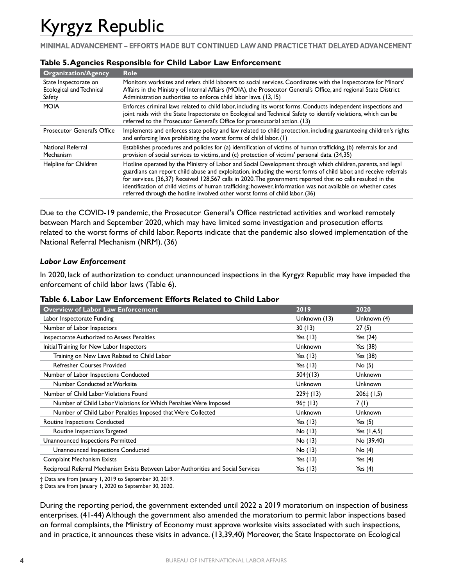**MINIMAL ADVANCEMENT – EFFORTS MADE BUT CONTINUED LAW AND PRACTICE THAT DELAYED ADVANCEMENT**

| <b>Organization/Agency</b>                                  | <b>Role</b>                                                                                                                                                                                                                                                                                                                                                                                                                                                                                                                                       |
|-------------------------------------------------------------|---------------------------------------------------------------------------------------------------------------------------------------------------------------------------------------------------------------------------------------------------------------------------------------------------------------------------------------------------------------------------------------------------------------------------------------------------------------------------------------------------------------------------------------------------|
| State Inspectorate on<br>Ecological and Technical<br>Safety | Monitors worksites and refers child laborers to social services. Coordinates with the Inspectorate for Minors'<br>Affairs in the Ministry of Internal Affairs (MOIA), the Prosecutor General's Office, and regional State District<br>Administration authorities to enforce child labor laws. (13,15)                                                                                                                                                                                                                                             |
| <b>MOIA</b>                                                 | Enforces criminal laws related to child labor, including its worst forms. Conducts independent inspections and<br>joint raids with the State Inspectorate on Ecological and Technical Safety to identify violations, which can be<br>referred to the Prosecutor General's Office for prosecutorial action. (13)                                                                                                                                                                                                                                   |
| Prosecutor General's Office                                 | Implements and enforces state policy and law related to child protection, including guaranteeing children's rights<br>and enforcing laws prohibiting the worst forms of child labor. (1)                                                                                                                                                                                                                                                                                                                                                          |
| <b>National Referral</b><br>Mechanism                       | Establishes procedures and policies for (a) identification of victims of human trafficking, (b) referrals for and<br>provision of social services to victims, and (c) protection of victims' personal data. (34,35)                                                                                                                                                                                                                                                                                                                               |
| Helpline for Children                                       | Hotline operated by the Ministry of Labor and Social Development through which children, parents, and legal<br>guardians can report child abuse and exploitation, including the worst forms of child labor, and receive referrals<br>for services. (36,37) Received 128,567 calls in 2020. The government reported that no calls resulted in the<br>identification of child victims of human trafficking; however, information was not available on whether cases<br>referred through the hotline involved other worst forms of child labor. (36) |

#### **Table 5. Agencies Responsible for Child Labor Law Enforcement**

Due to the COVID-19 pandemic, the Prosecutor General's Office restricted activities and worked remotely between March and September 2020, which may have limited some investigation and prosecution efforts related to the worst forms of child labor. Reports indicate that the pandemic also slowed implementation of the National Referral Mechanism (NRM). (36)

#### *Labor Law Enforcement*

In 2020, lack of authorization to conduct unannounced inspections in the Kyrgyz Republic may have impeded the enforcement of child labor laws (Table 6).

#### **Table 6. Labor Law Enforcement Efforts Related to Child Labor**

| <b>Overview of Labor Law Enforcement</b>                                           | 2019         | 2020                 |
|------------------------------------------------------------------------------------|--------------|----------------------|
| Labor Inspectorate Funding                                                         | Unknown (13) | Unknown (4)          |
| Number of Labor Inspectors                                                         | 30(13)       | 27(5)                |
| Inspectorate Authorized to Assess Penalties                                        | Yes $(13)$   | Yes $(24)$           |
| Initial Training for New Labor Inspectors                                          | Unknown      | Yes $(38)$           |
| Training on New Laws Related to Child Labor                                        | Yes $(13)$   | Yes (38)             |
| <b>Refresher Courses Provided</b>                                                  | Yes $(13)$   | No (5)               |
| Number of Labor Inspections Conducted                                              | 504(13)      | Unknown              |
| Number Conducted at Worksite                                                       | Unknown      | <b>Unknown</b>       |
| Number of Child Labor Violations Found                                             | $229+$ (13)  | $206 \ddagger (1,5)$ |
| Number of Child Labor Violations for Which Penalties Were Imposed                  | $96+ (13)$   | 7 (I)                |
| Number of Child Labor Penalties Imposed that Were Collected                        | Unknown      | <b>Unknown</b>       |
| Routine Inspections Conducted                                                      | Yes $(13)$   | Yes $(5)$            |
| Routine Inspections Targeted                                                       | $No$ (13)    | Yes $(1,4,5)$        |
| Unannounced Inspections Permitted                                                  | No(13)       | No (39,40)           |
| Unannounced Inspections Conducted                                                  | No (13)      | No (4)               |
| <b>Complaint Mechanism Exists</b>                                                  | Yes $(13)$   | Yes $(4)$            |
| Reciprocal Referral Mechanism Exists Between Labor Authorities and Social Services | Yes (13)     | Yes $(4)$            |

† Data are from January 1, 2019 to September 30, 2019.

‡ Data are from January 1, 2020 to September 30, 2020.

During the reporting period, the government extended until 2022 a 2019 moratorium on inspection of business enterprises. (41-44) Although the government also amended the moratorium to permit labor inspections based on formal complaints, the Ministry of Economy must approve worksite visits associated with such inspections, and in practice, it announces these visits in advance. (13,39,40) Moreover, the State Inspectorate on Ecological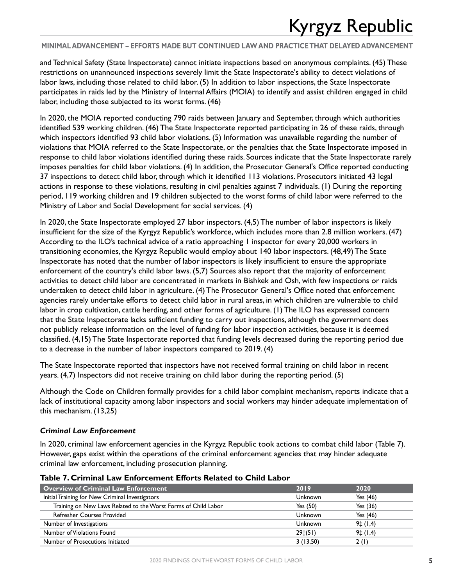**MINIMAL ADVANCEMENT – EFFORTS MADE BUT CONTINUED LAW AND PRACTICE THAT DELAYED ADVANCEMENT**

and Technical Safety (State Inspectorate) cannot initiate inspections based on anonymous complaints. (45) These restrictions on unannounced inspections severely limit the State Inspectorate's ability to detect violations of labor laws, including those related to child labor. (5) In addition to labor inspections, the State Inspectorate participates in raids led by the Ministry of Internal Affairs (MOIA) to identify and assist children engaged in child labor, including those subjected to its worst forms. (46)

In 2020, the MOIA reported conducting 790 raids between January and September, through which authorities identified 539 working children. (46) The State Inspectorate reported participating in 26 of these raids, through which inspectors identified 93 child labor violations. (5) Information was unavailable regarding the number of violations that MOIA referred to the State Inspectorate, or the penalties that the State Inspectorate imposed in response to child labor violations identified during these raids. Sources indicate that the State Inspectorate rarely imposes penalties for child labor violations. (4) In addition, the Prosecutor General's Office reported conducting 37 inspections to detect child labor, through which it identified 113 violations. Prosecutors initiated 43 legal actions in response to these violations, resulting in civil penalties against 7 individuals. (1) During the reporting period, 119 working children and 19 children subjected to the worst forms of child labor were referred to the Ministry of Labor and Social Development for social services. (4)

In 2020, the State Inspectorate employed 27 labor inspectors. (4,5) The number of labor inspectors is likely insufficient for the size of the Kyrgyz Republic's workforce, which includes more than 2.8 million workers. (47) According to the ILO's technical advice of a ratio approaching 1 inspector for every 20,000 workers in transitioning economies, the Kyrgyz Republic would employ about 140 labor inspectors. (48,49) The State Inspectorate has noted that the number of labor inspectors is likely insufficient to ensure the appropriate enforcement of the country's child labor laws. (5,7) Sources also report that the majority of enforcement activities to detect child labor are concentrated in markets in Bishkek and Osh, with few inspections or raids undertaken to detect child labor in agriculture. (4) The Prosecutor General's Office noted that enforcement agencies rarely undertake efforts to detect child labor in rural areas, in which children are vulnerable to child labor in crop cultivation, cattle herding, and other forms of agriculture. (1) The ILO has expressed concern that the State Inspectorate lacks sufficient funding to carry out inspections, although the government does not publicly release information on the level of funding for labor inspection activities, because it is deemed classified. (4,15) The State Inspectorate reported that funding levels decreased during the reporting period due to a decrease in the number of labor inspectors compared to 2019. (4)

The State Inspectorate reported that inspectors have not received formal training on child labor in recent years. (4,7) Inspectors did not receive training on child labor during the reporting period. (5)

Although the Code on Children formally provides for a child labor complaint mechanism, reports indicate that a lack of institutional capacity among labor inspectors and social workers may hinder adequate implementation of this mechanism. (13,25)

### *Criminal Law Enforcement*

In 2020, criminal law enforcement agencies in the Kyrgyz Republic took actions to combat child labor (Table 7). However, gaps exist within the operations of the criminal enforcement agencies that may hinder adequate criminal law enforcement, including prosecution planning.

| <b>Overview of Criminal Law Enforcement</b>                    | 2019       | 2020             |
|----------------------------------------------------------------|------------|------------------|
| Initial Training for New Criminal Investigators                | Unknown    | Yes $(46)$       |
| Training on New Laws Related to the Worst Forms of Child Labor | Yes $(50)$ | Yes $(36)$       |
| <b>Refresher Courses Provided</b>                              | Unknown    | Yes $(46)$       |
| Number of Investigations                                       | Unknown    | $9\ddagger(1,4)$ |
| Number of Violations Found                                     | 29(51)     | $9\ddagger(1,4)$ |
| Number of Prosecutions Initiated                               | 3(13,50)   | 2(1)             |

#### **Table 7. Criminal Law Enforcement Efforts Related to Child Labor**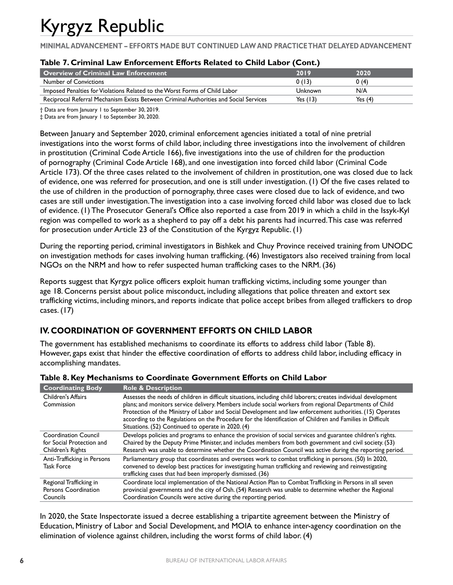**MINIMAL ADVANCEMENT – EFFORTS MADE BUT CONTINUED LAW AND PRACTICE THAT DELAYED ADVANCEMENT**

| Table 7. Criminal Law Enforcement Efforts Related to Child Labor (Cont.) |  |  |  |  |
|--------------------------------------------------------------------------|--|--|--|--|
|--------------------------------------------------------------------------|--|--|--|--|

| Overview of Criminal Law Enforcement                                                  | 2019     | 2020      |
|---------------------------------------------------------------------------------------|----------|-----------|
| <b>Number of Convictions</b>                                                          | 0(13)    | 0 (4)     |
| Imposed Penalties for Violations Related to the Worst Forms of Child Labor            | Unknown  | N/A       |
| Reciprocal Referral Mechanism Exists Between Criminal Authorities and Social Services | Yes (13) | Yes $(4)$ |

† Data are from January 1 to September 30, 2019.

‡ Data are from January 1 to September 30, 2020.

Between January and September 2020, criminal enforcement agencies initiated a total of nine pretrial investigations into the worst forms of child labor, including three investigations into the involvement of children in prostitution (Criminal Code Article 166), five investigations into the use of children for the production of pornography (Criminal Code Article 168), and one investigation into forced child labor (Criminal Code Article 173). Of the three cases related to the involvement of children in prostitution, one was closed due to lack of evidence, one was referred for prosecution, and one is still under investigation. (1) Of the five cases related to the use of children in the production of pornography, three cases were closed due to lack of evidence, and two cases are still under investigation. The investigation into a case involving forced child labor was closed due to lack of evidence. (1) The Prosecutor General's Office also reported a case from 2019 in which a child in the Issyk-Kyl region was compelled to work as a shepherd to pay off a debt his parents had incurred. This case was referred for prosecution under Article 23 of the Constitution of the Kyrgyz Republic. (1)

During the reporting period, criminal investigators in Bishkek and Chuy Province received training from UNODC on investigation methods for cases involving human trafficking. (46) Investigators also received training from local NGOs on the NRM and how to refer suspected human trafficking cases to the NRM. (36)

Reports suggest that Kyrgyz police officers exploit human trafficking victims, including some younger than age 18. Concerns persist about police misconduct, including allegations that police threaten and extort sex trafficking victims, including minors, and reports indicate that police accept bribes from alleged traffickers to drop cases. (17)

### **IV. COORDINATION OF GOVERNMENT EFFORTS ON CHILD LABOR**

The government has established mechanisms to coordinate its efforts to address child labor (Table 8). However, gaps exist that hinder the effective coordination of efforts to address child labor, including efficacy in accomplishing mandates.

| <b>Coordinating Body</b>                                                      | <b>Role &amp; Description</b>                                                                                                                                                                                                                                                                                                                                                                                                                                                                                |
|-------------------------------------------------------------------------------|--------------------------------------------------------------------------------------------------------------------------------------------------------------------------------------------------------------------------------------------------------------------------------------------------------------------------------------------------------------------------------------------------------------------------------------------------------------------------------------------------------------|
| Children's Affairs<br>Commission                                              | Assesses the needs of children in difficult situations, including child laborers; creates individual development<br>plans; and monitors service delivery. Members include social workers from regional Departments of Child<br>Protection of the Ministry of Labor and Social Development and law enforcement authorities. (15) Operates<br>according to the Regulations on the Procedure for the Identification of Children and Families in Difficult<br>Situations. (52) Continued to operate in 2020. (4) |
| <b>Coordination Council</b><br>for Social Protection and<br>Children's Rights | Develops policies and programs to enhance the provision of social services and guarantee children's rights.<br>Chaired by the Deputy Prime Minister, and includes members from both government and civil society. (53)<br>Research was unable to determine whether the Coordination Council was active during the reporting period.                                                                                                                                                                          |
| Anti-Trafficking in Persons<br><b>Task Force</b>                              | Parliamentary group that coordinates and oversees work to combat trafficking in persons. (50) In 2020,<br>convened to develop best practices for investigating human trafficking and reviewing and reinvestigating<br>trafficking cases that had been improperly dismissed. (36)                                                                                                                                                                                                                             |
| Regional Trafficking in<br>Persons Coordination<br>Councils                   | Coordinate local implementation of the National Action Plan to Combat Trafficking in Persons in all seven<br>provincial governments and the city of Osh. (54) Research was unable to determine whether the Regional<br>Coordination Councils were active during the reporting period.                                                                                                                                                                                                                        |

In 2020, the State Inspectorate issued a decree establishing a tripartite agreement between the Ministry of Education, Ministry of Labor and Social Development, and MOIA to enhance inter-agency coordination on the elimination of violence against children, including the worst forms of child labor. (4)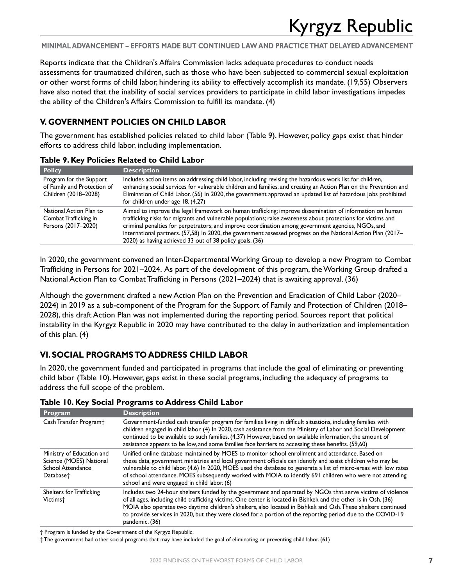**MINIMAL ADVANCEMENT – EFFORTS MADE BUT CONTINUED LAW AND PRACTICE THAT DELAYED ADVANCEMENT**

Reports indicate that the Children's Affairs Commission lacks adequate procedures to conduct needs assessments for traumatized children, such as those who have been subjected to commercial sexual exploitation or other worst forms of child labor, hindering its ability to effectively accomplish its mandate. (19,55) Observers have also noted that the inability of social services providers to participate in child labor investigations impedes the ability of the Children's Affairs Commission to fulfill its mandate. (4)

### **V. GOVERNMENT POLICIES ON CHILD LABOR**

The government has established policies related to child labor (Table 9). However, policy gaps exist that hinder efforts to address child labor, including implementation.

| <b>Policy</b>                                                                  | <b>Description</b>                                                                                                                                                                                                                                                                                                                                                                                                                                                                                         |
|--------------------------------------------------------------------------------|------------------------------------------------------------------------------------------------------------------------------------------------------------------------------------------------------------------------------------------------------------------------------------------------------------------------------------------------------------------------------------------------------------------------------------------------------------------------------------------------------------|
| Program for the Support<br>of Family and Protection of<br>Children (2018-2028) | Includes action items on addressing child labor, including revising the hazardous work list for children,<br>enhancing social services for vulnerable children and families, and creating an Action Plan on the Prevention and<br>Elimination of Child Labor. (56) In 2020, the government approved an updated list of hazardous jobs prohibited<br>for children under age 18. (4,27)                                                                                                                      |
| National Action Plan to<br>Combat Trafficking in<br>Persons (2017-2020)        | Aimed to improve the legal framework on human trafficking; improve dissemination of information on human<br>trafficking risks for migrants and vulnerable populations; raise awareness about protections for victims and<br>criminal penalties for perpetrators; and improve coordination among government agencies, NGOs, and<br>international partners. (57,58) In 2020, the government assessed progress on the National Action Plan (2017-<br>2020) as having achieved 33 out of 38 policy goals. (36) |

#### **Table 9. Key Policies Related to Child Labor**

In 2020, the government convened an Inter-Departmental Working Group to develop a new Program to Combat Trafficking in Persons for 2021–2024. As part of the development of this program, the Working Group drafted a National Action Plan to Combat Trafficking in Persons (2021–2024) that is awaiting approval. (36)

Although the government drafted a new Action Plan on the Prevention and Eradication of Child Labor (2020– 2024) in 2019 as a sub-component of the Program for the Support of Family and Protection of Children (2018– 2028), this draft Action Plan was not implemented during the reporting period. Sources report that political instability in the Kyrgyz Republic in 2020 may have contributed to the delay in authorization and implementation of this plan. (4)

### **VI. SOCIAL PROGRAMS TO ADDRESS CHILD LABOR**

In 2020, the government funded and participated in programs that include the goal of eliminating or preventing child labor (Table 10). However, gaps exist in these social programs, including the adequacy of programs to address the full scope of the problem.

| Program                                                                                            | <b>Description</b>                                                                                                                                                                                                                                                                                                                                                                                                                                                                               |
|----------------------------------------------------------------------------------------------------|--------------------------------------------------------------------------------------------------------------------------------------------------------------------------------------------------------------------------------------------------------------------------------------------------------------------------------------------------------------------------------------------------------------------------------------------------------------------------------------------------|
| Cash Transfer Program <sup>+</sup>                                                                 | Government-funded cash transfer program for families living in difficult situations, including families with<br>children engaged in child labor. (4) In 2020, cash assistance from the Ministry of Labor and Social Development<br>continued to be available to such families. (4,37) However, based on available information, the amount of<br>assistance appears to be low, and some families face barriers to accessing these benefits. (59,60)                                               |
| Ministry of Education and<br>Science (MOES) National<br>School Attendance<br>Database <sup>+</sup> | Unified online database maintained by MOES to monitor school enrollment and attendance. Based on<br>these data, government ministries and local government officials can identify and assist children who may be<br>vulnerable to child labor. (4,6) In 2020, MOES used the database to generate a list of micro-areas with low rates<br>of school attendance. MOES subsequently worked with MOIA to identify 691 children who were not attending<br>school and were engaged in child labor. (6) |
| Shelters for Trafficking<br>Victims <sup>+</sup>                                                   | Includes two 24-hour shelters funded by the government and operated by NGOs that serve victims of violence<br>of all ages, including child trafficking victims. One center is located in Bishkek and the other is in Osh. (36)<br>MOIA also operates two daytime children's shelters, also located in Bishkek and Osh. These shelters continued<br>to provide services in 2020, but they were closed for a portion of the reporting period due to the COVID-19<br>pandemic. (36)                 |

**Table 10. Key Social Programs to Address Child Labor**

† Program is funded by the Government of the Kyrgyz Republic.

‡ The government had other social programs that may have included the goal of eliminating or preventing child labor. (61)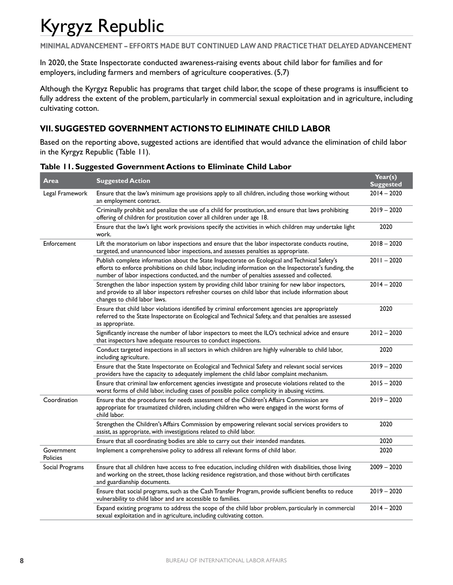**MINIMAL ADVANCEMENT – EFFORTS MADE BUT CONTINUED LAW AND PRACTICE THAT DELAYED ADVANCEMENT**

In 2020, the State Inspectorate conducted awareness-raising events about child labor for families and for employers, including farmers and members of agriculture cooperatives. (5,7)

Although the Kyrgyz Republic has programs that target child labor, the scope of these programs is insufficient to fully address the extent of the problem, particularly in commercial sexual exploitation and in agriculture, including cultivating cotton.

### **VII. SUGGESTED GOVERNMENT ACTIONS TO ELIMINATE CHILD LABOR**

Based on the reporting above, suggested actions are identified that would advance the elimination of child labor in the Kyrgyz Republic (Table 11).

| Area                          | <b>Suggested Action</b>                                                                                                                                                                                                                                                                                  | Year(s)<br><b>Suggested</b> |
|-------------------------------|----------------------------------------------------------------------------------------------------------------------------------------------------------------------------------------------------------------------------------------------------------------------------------------------------------|-----------------------------|
| Legal Framework               | Ensure that the law's minimum age provisions apply to all children, including those working without<br>an employment contract.                                                                                                                                                                           | $2014 - 2020$               |
|                               | Criminally prohibit and penalize the use of a child for prostitution, and ensure that laws prohibiting<br>offering of children for prostitution cover all children under age 18.                                                                                                                         | $2019 - 2020$               |
|                               | Ensure that the law's light work provisions specify the activities in which children may undertake light<br>work.                                                                                                                                                                                        | 2020                        |
| Enforcement                   | Lift the moratorium on labor inspections and ensure that the labor inspectorate conducts routine,<br>targeted, and unannounced labor inspections, and assesses penalties as appropriate.                                                                                                                 | $2018 - 2020$               |
|                               | Publish complete information about the State Inspectorate on Ecological and Technical Safety's<br>efforts to enforce prohibitions on child labor, including information on the Inspectorate's funding, the<br>number of labor inspections conducted, and the number of penalties assessed and collected. | $2011 - 2020$               |
|                               | Strengthen the labor inspection system by providing child labor training for new labor inspectors,<br>and provide to all labor inspectors refresher courses on child labor that include information about<br>changes to child labor laws.                                                                | $2014 - 2020$               |
|                               | Ensure that child labor violations identified by criminal enforcement agencies are appropriately<br>referred to the State Inspectorate on Ecological and Technical Safety, and that penalties are assessed<br>as appropriate.                                                                            | 2020                        |
|                               | Significantly increase the number of labor inspectors to meet the ILO's technical advice and ensure<br>that inspectors have adequate resources to conduct inspections.                                                                                                                                   | $2012 - 2020$               |
|                               | Conduct targeted inspections in all sectors in which children are highly vulnerable to child labor,<br>including agriculture.                                                                                                                                                                            | 2020                        |
|                               | Ensure that the State Inspectorate on Ecological and Technical Safety and relevant social services<br>providers have the capacity to adequately implement the child labor complaint mechanism.                                                                                                           | $2019 - 2020$               |
|                               | Ensure that criminal law enforcement agencies investigate and prosecute violations related to the<br>worst forms of child labor, including cases of possible police complicity in abusing victims.                                                                                                       | $2015 - 2020$               |
| Coordination                  | Ensure that the procedures for needs assessment of the Children's Affairs Commission are<br>appropriate for traumatized children, including children who were engaged in the worst forms of<br>child labor.                                                                                              | $2019 - 2020$               |
|                               | Strengthen the Children's Affairs Commission by empowering relevant social services providers to<br>assist, as appropriate, with investigations related to child labor.                                                                                                                                  | 2020                        |
|                               | Ensure that all coordinating bodies are able to carry out their intended mandates.                                                                                                                                                                                                                       | 2020                        |
| Government<br><b>Policies</b> | Implement a comprehensive policy to address all relevant forms of child labor.                                                                                                                                                                                                                           | 2020                        |
| Social Programs               | Ensure that all children have access to free education, including children with disabilities, those living<br>and working on the street, those lacking residence registration, and those without birth certificates<br>and guardianship documents.                                                       | $2009 - 2020$               |
|                               | Ensure that social programs, such as the Cash Transfer Program, provide sufficient benefits to reduce<br>vulnerability to child labor and are accessible to families.                                                                                                                                    | $2019 - 2020$               |
|                               | Expand existing programs to address the scope of the child labor problem, particularly in commercial<br>sexual exploitation and in agriculture, including cultivating cotton.                                                                                                                            | $2014 - 2020$               |

### **Table 11. Suggested Government Actions to Eliminate Child Labor**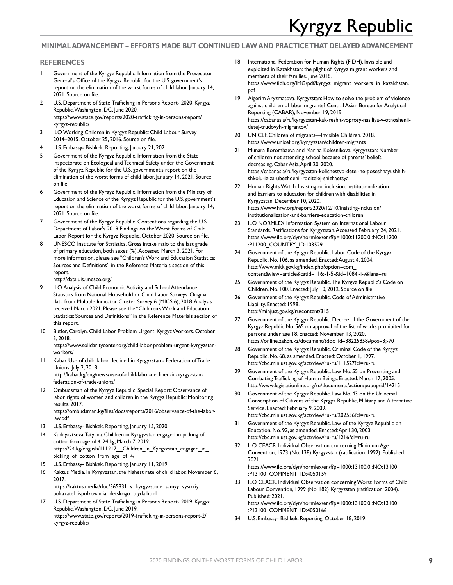#### **MINIMAL ADVANCEMENT – EFFORTS MADE BUT CONTINUED LAW AND PRACTICE THAT DELAYED ADVANCEMENT**

#### **REFERENCES**

- 1 Government of the Kyrgyz Republic. Information from the Prosecutor General's Office of the Kyrgyz Republic for the U.S. government's report on the elimination of the worst forms of child labor. January 14, 2021. Source on file.
- 2 U.S. Department of State. Trafficking in Persons Report- 2020: Kyrgyz Republic. Washington, DC, June 2020. [https://www.state.gov/reports/2020-trafficking-in-persons-report/](https://www.state.gov/reports/2020-trafficking-in-persons-report/kyrgyz-republic/) [kyrgyz-republic/](https://www.state.gov/reports/2020-trafficking-in-persons-report/kyrgyz-republic/)
- 3 ILO. Working Children in Kyrgyz Republic: Child Labour Survey 2014–2015. October 25, 2016. Source on file.
- U.S. Embassy- Bishkek. Reporting, January 21, 2021.
- 5 Government of the Kyrgyz Republic. Information from the State Inspectorate on Ecological and Technical Safety under the Government of the Kyrgyz Republic for the U.S. government's report on the elimination of the worst forms of child labor. January 14, 2021. Source on file.
- 6 Government of the Kyrgyz Republic. Information from the Ministry of Education and Science of the Kyrgyz Republic for the U.S. government's report on the elimination of the worst forms of child labor. January 14, 2021. Source on file.
- 7 Government of the Kyrgyz Republic. Contentions regarding the U.S. Department of Labor's 2019 Findings on the Worst Forms of Child Labor Report for the Kyrgyz Republic. October 2020. Source on file.
- UNESCO Institute for Statistics. Gross intake ratio to the last grade of primary education, both sexes (%). Accessed March 3, 2021. For more information, please see "Children's Work and Education Statistics: Sources and Definitions" in the Reference Materials section of this report.

<http://data.uis.unesco.org/>

- 9 ILO. Analysis of Child Economic Activity and School Attendance Statistics from National Household or Child Labor Surveys. Original data from Multiple Indicator Cluster Survey 6 (MICS 6), 2018. Analysis received March 2021. Please see the "Children's Work and Education Statistics: Sources and Definitions" in the Reference Materials section of this report.
- 10 Butler, Carolyn. Child Labor Problem Urgent: Kyrgyz Workers. October 3, 2018. [https://www.solidaritycenter.org/child-labor-problem-urgent-kyrgyzstan-](https://www.solidaritycenter.org/child-labor-problem-urgent-kyrgyzstan-workers/)
- [workers/](https://www.solidaritycenter.org/child-labor-problem-urgent-kyrgyzstan-workers/) 11 Kabar. Use of child labor declined in Kyrgyzstan - Federation of Trade Unions. July 2, 2018. [http://kabar.kg/eng/news/use-of-child-labor-declined-in-kyrgyzstan-](http://kabar.kg/eng/news/use-of-child-labor-declined-in-kyrgyzstan-federation-of-trade-unions/)

[federation-of-trade-unions/](http://kabar.kg/eng/news/use-of-child-labor-declined-in-kyrgyzstan-federation-of-trade-unions/)

- 12 Ombudsman of the Kyrgyz Republic. Special Report: Observance of labor rights of women and children in the Kyrgyz Republic: Monitoring results. 2017. [https://ombudsman.kg/files/docs/reports/2016/observance-of-the-labor-](https://ombudsman.kg/files/docs/reports/2016/observance-of-the-labor-law.pdf)
- [law.pdf](https://ombudsman.kg/files/docs/reports/2016/observance-of-the-labor-law.pdf) 13 U.S. Embassy- Bishkek. Reporting, January 15, 2020.
- 14 Kudryavtseva, Tatyana. Children in Kyrgyzstan engaged in picking of cotton from age of 4. 24.kg, March 7, 2019. [https://24.kg/english/111217\\_\\_Children\\_in\\_Kyrgyzstan\\_engaged\\_in\\_](https://24.kg/english/111217__Children_in_Kyrgyzstan_engaged_in_picking_of_cotton_from_age_of_4/) picking of cotton from age of 4/
- U.S. Embassy- Bishkek. Reporting. January 11, 2019.
- 16 Kaktus Media. In Kyrgyzstan, the highest rate of child labor. November 6, 2017.

[https://kaktus.media/doc/365831\\_v\\_kyrgyzstane\\_samyy\\_vysokiy\\_](https://kaktus.media/doc/365831_v_kyrgyzstane_samyy_vysokiy_pokazatel_ispolzovaniia_detskogo_tryda.html) [pokazatel\\_ispolzovaniia\\_detskogo\\_tryda.html](https://kaktus.media/doc/365831_v_kyrgyzstane_samyy_vysokiy_pokazatel_ispolzovaniia_detskogo_tryda.html)

17 U.S. Department of State. Trafficking in Persons Report- 2019: Kyrgyz Republic. Washington, DC, June 2019. [https://www.state.gov/reports/2019-trafficking-in-persons-report-2/](https://www.state.gov/reports/2019-trafficking-in-persons-report-2/kyrgyz-republic/) [kyrgyz-republic/](https://www.state.gov/reports/2019-trafficking-in-persons-report-2/kyrgyz-republic/)

- 18 International Federation for Human Rights (FIDH). Invisible and exploited in Kazakhstan: the plight of Kyrgyz migrant workers and members of their families. June 2018. [https://www.fidh.org/IMG/pdf/kyrgyz\\_migrant\\_workers\\_in\\_kazakhstan.](https://www.fidh.org/IMG/pdf/kyrgyz_migrant_workers_in_kazakhstan.pdf) [pdf](https://www.fidh.org/IMG/pdf/kyrgyz_migrant_workers_in_kazakhstan.pdf)
- 19 Aigerim Aryzmatova. Kyrgyzstan: How to solve the problem of violence against children of labor migrants? Central Asian Bureau for Analytical Reporting (CABAR), November 19, 2019. [https://cabar.asia/ru/kyrgyzstan-kak-reshit-voprosy-nasiliya-v-otnoshenii](https://cabar.asia/ru/kyrgyzstan-kak-reshit-voprosy-nasiliya-v-otnoshenii-detej-trudovyh-migrantov/)[detej-trudovyh-migrantov/](https://cabar.asia/ru/kyrgyzstan-kak-reshit-voprosy-nasiliya-v-otnoshenii-detej-trudovyh-migrantov/)
- 20 UNICEF. Children of migrants—Invisible Children. 2018. <https://www.unicef.org/kyrgyzstan/children-migrants>
- 21 Munara Borombaeva and Marina Kolesnikova. Kyrgyzstan: Number of children not attending school because of parents' beliefs decreasing. Cabar Asia, April 20, 2020. [https://cabar.asia/ru/kyrgyzstan-kolichestvo-detej-ne-poseshhayushhih](https://cabar.asia/ru/kyrgyzstan-kolichestvo-detej-ne-poseshhayushhih-shkolu-iz-za-ubezhdenij-roditelej-snizhaetsya)[shkolu-iz-za-ubezhdenij-roditelej-snizhaetsya](https://cabar.asia/ru/kyrgyzstan-kolichestvo-detej-ne-poseshhayushhih-shkolu-iz-za-ubezhdenij-roditelej-snizhaetsya)
- 22 Human Rights Watch. Insisting on inclusion: Institutionalization and barriers to education for children with disabilities in Kyrgyzstan. December 10, 2020. [https://www.hrw.org/report/2020/12/10/insisting-inclusion/](https://www.hrw.org/report/2020/12/10/insisting-inclusion/institutionalization-and-barriers-education-children) [institutionalization-and-barriers-education-children](https://www.hrw.org/report/2020/12/10/insisting-inclusion/institutionalization-and-barriers-education-children)
- 23 ILO NORMLEX Information System on International Labour Standards. Ratifications for Kyrgyzstan. Accessed February 24, 2021. [https://www.ilo.org/dyn/normlex/en/f?p=1000:11200:0::NO:11200](https://www.ilo.org/dyn/normlex/en/f?p=1000:11200:0::NO:11200:P11200_COUNTRY_ID:103529) [:P11200\\_COUNTRY\\_ID:103529](https://www.ilo.org/dyn/normlex/en/f?p=1000:11200:0::NO:11200:P11200_COUNTRY_ID:103529)
- 24 Government of the Kyrgyz Republic. Labor Code of the Kyrgyz Republic, No. 106, as amended. Enacted: August 4, 2004. [http://www.mkk.gov.kg/index.php?option=com\\_](http://www.mkk.gov.kg/index.php?option=com_content&view=article&catid=116:-1-5-&id=1084:-i-v&lang=ru) [content&view=article&catid=116:-1-5-&id=1084:-i-v&lang=ru](http://www.mkk.gov.kg/index.php?option=com_content&view=article&catid=116:-1-5-&id=1084:-i-v&lang=ru)
- 25 Government of the Kyrgyz Republic. The Kyrgyz Republic's Code on Children, No. 100. Enacted: July 10, 2012. Source on file.
- 26 Government of the Kyrgyz Republic. Code of Administrative Liability. Enacted: 1998. <http://minjust.gov.kg/ru/content/315>
- Government of the Kyrgyz Republic. Decree of the Government of the Kyrgyz Republic No. 565 on approval of the list of works prohibited for persons under age 18. Enacted: November 13, 2020. https://online.zakon.kz/document/?doc\_id=38225858#pos=3;-70
- Government of the Kyrgyz Republic. Criminal Code of the Kyrgyz Republic, No. 68, as amended. Enacted: October 1, 1997. <http://cbd.minjust.gov.kg/act/view/ru-ru/111527?cl=ru-ru>
- 29 Government of the Kyrgyz Republic. Law No. 55 on Preventing and Combating Trafficking of Human Beings. Enacted: March 17, 2005. <http://www.legislationline.org/ru/documents/action/popup/id/14215>
- 30 Government of the Kyrgyz Republic. Law No. 43 on the Universal Conscription of Citizens of the Kyrgyz Republic, Military and Alternative Service. Enacted: February 9, 2009. <http://cbd.minjust.gov.kg/act/view/ru-ru/202536?cl=ru-ru>
- 31 Government of the Kyrgyz Republic. Law of the Kyrgyz Republic on Education, No. 92, as amended. Enacted: April 30, 2003. <http://cbd.minjust.gov.kg/act/view/ru-ru/1216?cl=ru-ru>
- 32 ILO CEACR. Individual Observation concerning Minimum Age Convention, 1973 (No. 138) Kyrgyzstan (ratification: 1992). Published: 2021. [https://www.ilo.org/dyn/normlex/en/f?p=1000:13100:0::NO:13100](https://www.ilo.org/dyn/normlex/en/f?p=1000:13100:0::NO:13100:P13100_COMMENT_ID:4050159)

[:P13100\\_COMMENT\\_ID:4050159](https://www.ilo.org/dyn/normlex/en/f?p=1000:13100:0::NO:13100:P13100_COMMENT_ID:4050159) 33 ILO CEACR. Individual Observation concerning Worst Forms of Child

- Labour Convention, 1999 (No. 182) Kyrgyzstan (ratification: 2004). Published: 2021. [https://www.ilo.org/dyn/normlex/en/f?p=1000:13100:0::NO:13100](https://www.ilo.org/dyn/normlex/en/f?p=1000:13100:0::NO:13100:P13100_COMMENT_ID:4050166) [:P13100\\_COMMENT\\_ID:4050166](https://www.ilo.org/dyn/normlex/en/f?p=1000:13100:0::NO:13100:P13100_COMMENT_ID:4050166)
- 34 U.S. Embassy- Bishkek. Reporting. October 18, 2019.